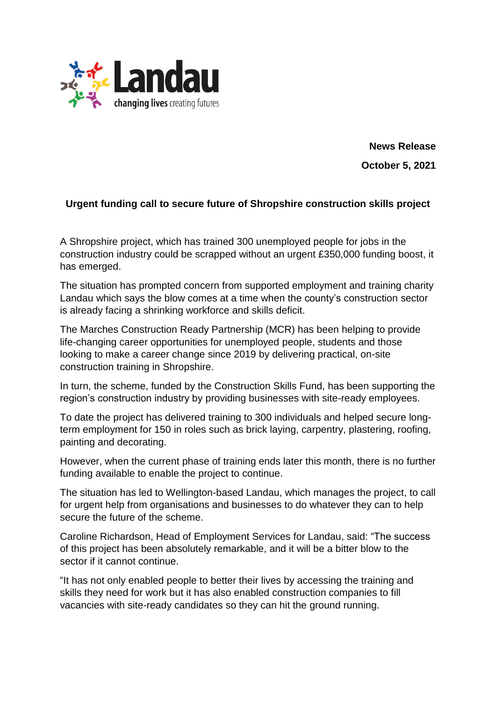

**News Release October 5, 2021**

## **Urgent funding call to secure future of Shropshire construction skills project**

A Shropshire project, which has trained 300 unemployed people for jobs in the construction industry could be scrapped without an urgent £350,000 funding boost, it has emerged.

The situation has prompted concern from supported employment and training charity Landau which says the blow comes at a time when the county's construction sector is already facing a shrinking workforce and skills deficit.

The Marches Construction Ready Partnership (MCR) has been helping to provide life-changing career opportunities for unemployed people, students and those looking to make a career change since 2019 by delivering practical, on-site construction training in Shropshire.

In turn, the scheme, funded by the Construction Skills Fund, has been supporting the region's construction industry by providing businesses with site-ready employees.

To date the project has delivered training to 300 individuals and helped secure longterm employment for 150 in roles such as brick laying, carpentry, plastering, roofing, painting and decorating.

However, when the current phase of training ends later this month, there is no further funding available to enable the project to continue.

The situation has led to Wellington-based Landau, which manages the project, to call for urgent help from organisations and businesses to do whatever they can to help secure the future of the scheme.

Caroline Richardson, Head of Employment Services for Landau, said: "The success of this project has been absolutely remarkable, and it will be a bitter blow to the sector if it cannot continue.

"It has not only enabled people to better their lives by accessing the training and skills they need for work but it has also enabled construction companies to fill vacancies with site-ready candidates so they can hit the ground running.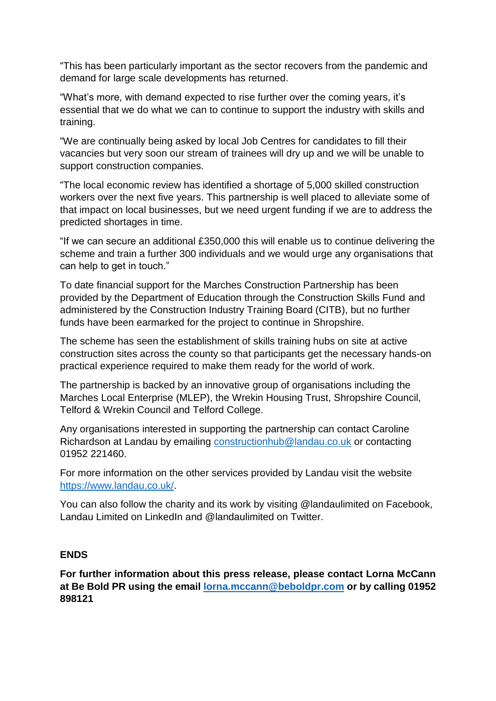"This has been particularly important as the sector recovers from the pandemic and demand for large scale developments has returned.

"What's more, with demand expected to rise further over the coming years, it's essential that we do what we can to continue to support the industry with skills and training.

"We are continually being asked by local Job Centres for candidates to fill their vacancies but very soon our stream of trainees will dry up and we will be unable to support construction companies.

"The local economic review has identified a shortage of 5,000 skilled construction workers over the next five years. This partnership is well placed to alleviate some of that impact on local businesses, but we need urgent funding if we are to address the predicted shortages in time.

"If we can secure an additional £350,000 this will enable us to continue delivering the scheme and train a further 300 individuals and we would urge any organisations that can help to get in touch."

To date financial support for the Marches Construction Partnership has been provided by the Department of Education through the Construction Skills Fund and administered by the Construction Industry Training Board (CITB), but no further funds have been earmarked for the project to continue in Shropshire.

The scheme has seen the establishment of skills training hubs on site at active construction sites across the county so that participants get the necessary hands-on practical experience required to make them ready for the world of work.

The partnership is backed by an innovative group of organisations including the Marches Local Enterprise (MLEP), the Wrekin Housing Trust, Shropshire Council, Telford & Wrekin Council and Telford College.

Any organisations interested in supporting the partnership can contact Caroline Richardson at Landau by emailing [constructionhub@landau.co.uk](mailto:constructionhub@landau.co.uk) or contacting 01952 221460.

For more information on the other services provided by Landau visit the website [https://www.landau.co.uk/.](https://www.landau.co.uk/)

You can also follow the charity and its work by visiting @landaulimited on Facebook, Landau Limited on LinkedIn and @landaulimited on Twitter.

## **ENDS**

**For further information about this press release, please contact Lorna McCann at Be Bold PR using the email [lorna.mccann@beboldpr.com](mailto:lorna.mccann@beboldpr.com) or by calling 01952 898121**